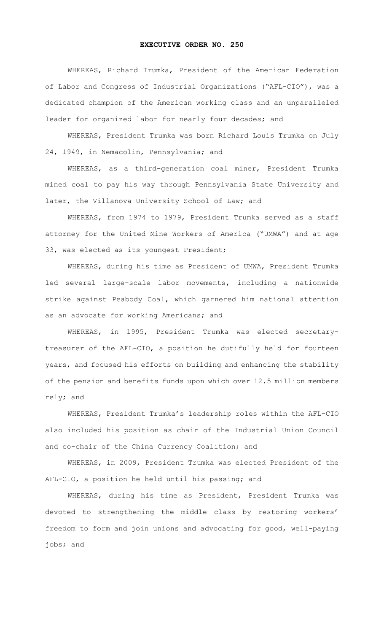## **EXECUTIVE ORDER NO. 250**

WHEREAS, Richard Trumka, President of the American Federation of Labor and Congress of Industrial Organizations ("AFL-CIO"), was a dedicated champion of the American working class and an unparalleled leader for organized labor for nearly four decades; and

WHEREAS, President Trumka was born Richard Louis Trumka on July 24, 1949, in Nemacolin, Pennsylvania; and

WHEREAS, as a third-generation coal miner, President Trumka mined coal to pay his way through Pennsylvania State University and later, the Villanova University School of Law; and

WHEREAS, from 1974 to 1979, President Trumka served as a staff attorney for the United Mine Workers of America ("UMWA") and at age 33, was elected as its youngest President;

WHEREAS, during his time as President of UMWA, President Trumka led several large-scale labor movements, including a nationwide strike against Peabody Coal, which garnered him national attention as an advocate for working Americans; and

WHEREAS, in 1995, President Trumka was elected secretarytreasurer of the AFL-CIO, a position he dutifully held for fourteen years, and focused his efforts on building and enhancing the stability of the pension and benefits funds upon which over 12.5 million members rely; and

WHEREAS, President Trumka's leadership roles within the AFL-CIO also included his position as chair of the Industrial Union Council and co-chair of the China Currency Coalition; and

WHEREAS, in 2009, President Trumka was elected President of the AFL-CIO, a position he held until his passing; and

WHEREAS, during his time as President, President Trumka was devoted to strengthening the middle class by restoring workers' freedom to form and join unions and advocating for good, well-paying jobs; and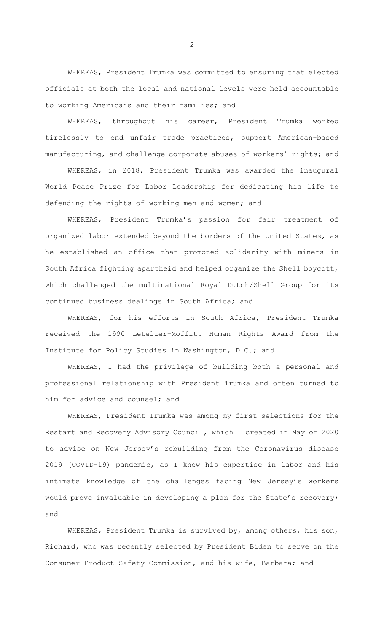WHEREAS, President Trumka was committed to ensuring that elected officials at both the local and national levels were held accountable to working Americans and their families; and

WHEREAS, throughout his career, President Trumka worked tirelessly to end unfair trade practices, support American-based manufacturing, and challenge corporate abuses of workers' rights; and

WHEREAS, in 2018, President Trumka was awarded the inaugural World Peace Prize for Labor Leadership for dedicating his life to defending the rights of working men and women; and

WHEREAS, President Trumka's passion for fair treatment of organized labor extended beyond the borders of the United States, as he established an office that promoted solidarity with miners in South Africa fighting apartheid and helped organize the Shell boycott, which challenged the multinational Royal Dutch/Shell Group for its continued business dealings in South Africa; and

WHEREAS, for his efforts in South Africa, President Trumka received the 1990 Letelier-Moffitt Human Rights Award from the Institute for Policy Studies in Washington, D.C.; and

WHEREAS, I had the privilege of building both a personal and professional relationship with President Trumka and often turned to him for advice and counsel; and

WHEREAS, President Trumka was among my first selections for the Restart and Recovery Advisory Council, which I created in May of 2020 to advise on New Jersey's rebuilding from the Coronavirus disease 2019 (COVID-19) pandemic, as I knew his expertise in labor and his intimate knowledge of the challenges facing New Jersey's workers would prove invaluable in developing a plan for the State's recovery; and

WHEREAS, President Trumka is survived by, among others, his son, Richard, who was recently selected by President Biden to serve on the Consumer Product Safety Commission, and his wife, Barbara; and

2